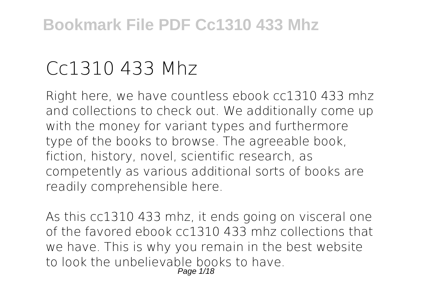# **Cc1310 433 Mhz**

Right here, we have countless ebook **cc1310 433 mhz** and collections to check out. We additionally come up with the money for variant types and furthermore type of the books to browse. The agreeable book, fiction, history, novel, scientific research, as competently as various additional sorts of books are readily comprehensible here.

As this cc1310 433 mhz, it ends going on visceral one of the favored ebook cc1310 433 mhz collections that we have. This is why you remain in the best website to look the unbelievable books to have. Page 1/18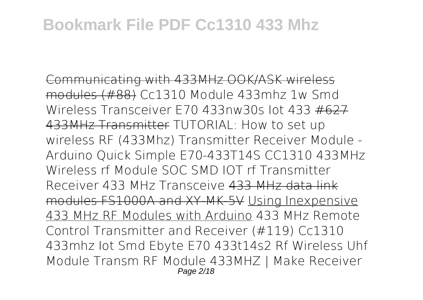Communicating with 433MHz OOK/ASK wireless modules (#88) *Cc1310 Module 433mhz 1w Smd Wireless Transceiver E70 433nw30s Iot 433* #627 433MHz Transmitter TUTORIAL: How to set up wireless RF (433Mhz) Transmitter Receiver Module - Arduino Quick Simple *E70-433T14S CC1310 433MHz Wireless rf Module SOC SMD IOT rf Transmitter Receiver 433 MHz Transceive* 433 MHz data link modules FS1000A and XY-MK-5V Using Inexpensive 433 MHz RF Modules with Arduino **433 MHz Remote Control Transmitter and Receiver (#119)** Cc1310 433mhz Iot Smd Ebyte E70 433t14s2 Rf Wireless Uhf Module Transm RF Module 433MHZ | Make Receiver Page 2/18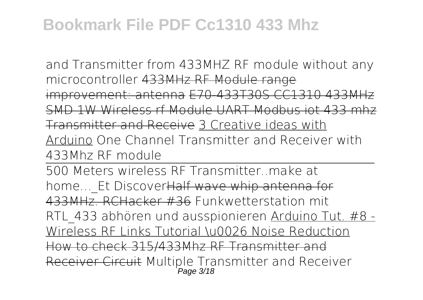and Transmitter from 433MHZ RF module without any microcontroller 433MHz RF Module range improvement: antenna E70-433T30S CC1310 433MHz SMD 1W Wireless rf Module UART Modbus iot 433 mhz Transmitter and Receive 3 Creative ideas with Arduino *One Channel Transmitter and Receiver with 433Mhz RF module*

500 Meters wireless RF Transmitter..make at home... Et DiscoverHalf wave whip antenna for 433MHz. RCHacker #36 **Funkwetterstation mit RTL\_433 abhören und ausspionieren** Arduino Tut. #8 - Wireless RF Links Tutorial \u0026 Noise Reduction How to check 315/433Mhz RF Transmitter and Receiver Circuit Multiple Transmitter and Receiver Page 3/18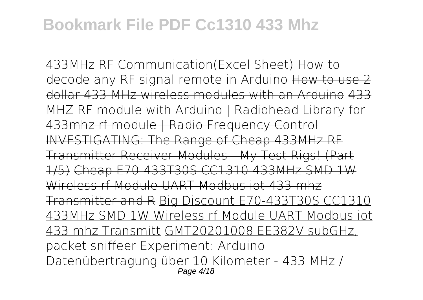433MHz RF Communication(Excel Sheet) How to decode any RF signal remote in Arduino How to use 2 dollar 433 MHz wireless modules with an Arduino 433 MHZ RF module with Arduino | Radiohead Library for 433mhz rf module | Radio Frequency Control INVESTIGATING: The Range of Cheap 433MHz RF Transmitter Receiver Modules - My Test Rigs! (Part 1/5) Cheap E70-433T30S CC1310 433MHz SMD 1W Wireless rf Module UART Modbus iot 433 mhz Transmitter and R Big Discount E70-433T30S CC1310 433MHz SMD 1W Wireless rf Module UART Modbus iot 433 mhz Transmitt GMT20201008 EE382V subGHz, packet sniffeer *Experiment: Arduino Datenübertragung über 10 Kilometer - 433 MHz /* Page 4/18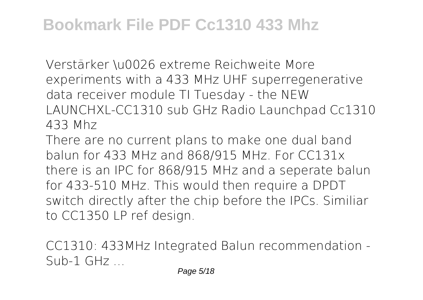*Verstärker \u0026 extreme Reichweite More experiments with a 433 MHz UHF superregenerative data receiver module* TI Tuesday - the NEW LAUNCHXL-CC1310 sub GHz Radio Launchpad Cc1310 433 Mhz

There are no current plans to make one dual band balun for 433 MHz and 868/915 MHz. For CC131x there is an IPC for 868/915 MHz and a seperate balun for 433-510 MHz. This would then require a DPDT switch directly after the chip before the IPCs. Similiar to CC1350 LP ref design.

CC1310: 433MHz Integrated Balun recommendation -  $Sub-1$   $GHz$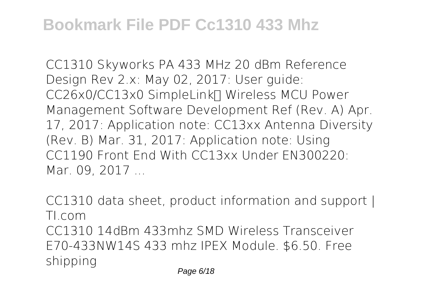CC1310 Skyworks PA 433 MHz 20 dBm Reference Design Rev 2.x: May 02, 2017: User guide: CC26x0/CC13x0 SimpleLink∏ Wireless MCU Power Management Software Development Ref (Rev. A) Apr. 17, 2017: Application note: CC13xx Antenna Diversity (Rev. B) Mar. 31, 2017: Application note: Using CC1190 Front End With CC13xx Under EN300220: Mar. 09, 2017 ...

CC1310 data sheet, product information and support | TI.com CC1310 14dBm 433mhz SMD Wireless Transceiver E70-433NW14S 433 mhz IPEX Module. \$6.50. Free shipping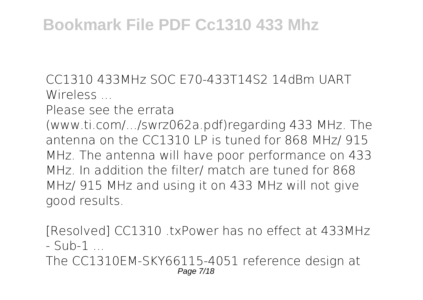CC1310 433MHz SOC E70-433T14S2 14dBm UART Wireless ...

Please see the errata

(www.ti.com/.../swrz062a.pdf)regarding 433 MHz. The antenna on the CC1310 LP is tuned for 868 MHz/ 915 MHz. The antenna will have poor performance on 433 MHz. In addition the filter/ match are tuned for 868 MHz/ 915 MHz and using it on 433 MHz will not give good results.

[Resolved] CC1310 .txPower has no effect at 433MHz  $-$  Sub-1  $-$ 

The CC1310EM-SKY66115-4051 reference design at Page 7/18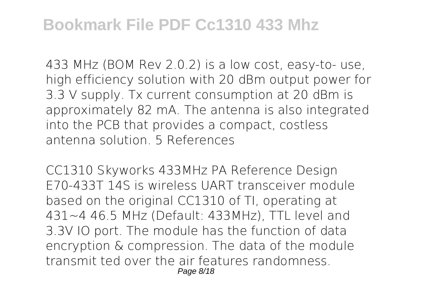433 MHz (BOM Rev 2.0.2) is a low cost, easy-to- use, high efficiency solution with 20 dBm output power for 3.3 V supply. Tx current consumption at 20 dBm is approximately 82 mA. The antenna is also integrated into the PCB that provides a compact, costless antenna solution. 5 References

CC1310 Skyworks 433MHz PA Reference Design E70-433T 14S is wireless UART transceiver module based on the original CC1310 of TI, operating at 431~4 46.5 MHz (Default: 433MHz), TTL level and 3.3V IO port. The module has the function of data encryption & compression. The data of the module transmit ted over the air features randomness. Page 8/18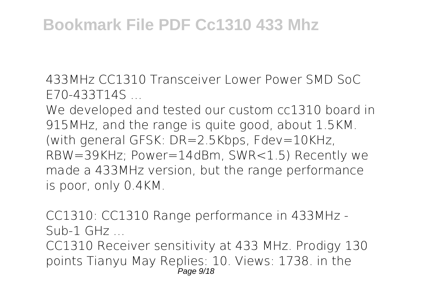433MHz CC1310 Transceiver Lower Power SMD SoC E70-433T14S ...

We developed and tested our custom cc1310 board in 915MHz, and the range is quite good, about 1.5KM. (with general GFSK: DR=2.5Kbps, Fdev=10KHz, RBW=39KHz; Power=14dBm, SWR<1.5) Recently we made a 433MHz version, but the range performance is poor, only 0.4KM.

CC1310: CC1310 Range performance in 433MHz -  $Sub-1$   $GHz$ 

CC1310 Receiver sensitivity at 433 MHz. Prodigy 130 points Tianyu May Replies: 10. Views: 1738. in the Page 9/18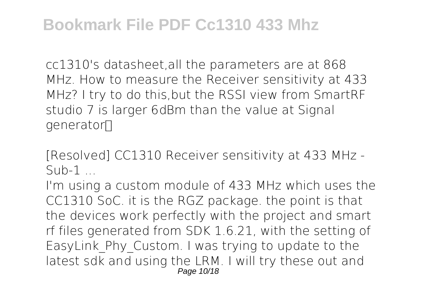cc1310's datasheet,all the parameters are at 868 MHz. How to measure the Receiver sensitivity at 433 MHz? I try to do this,but the RSSI view from SmartRF studio 7 is larger 6dBm than the value at Signal qenerator∏

[Resolved] CC1310 Receiver sensitivity at 433 MHz -  $Sub-1$ 

I'm using a custom module of 433 MHz which uses the CC1310 SoC. it is the RGZ package. the point is that the devices work perfectly with the project and smart rf files generated from SDK 1.6.21, with the setting of EasyLink\_Phy\_Custom. I was trying to update to the latest sdk and using the LRM. I will try these out and Page 10/18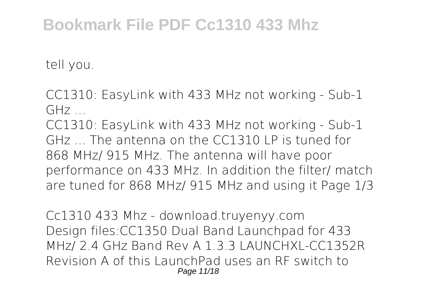tell you.

CC1310: EasyLink with 433 MHz not working - Sub-1  $GHz$ 

CC1310: EasyLink with 433 MHz not working - Sub-1 GHz . The antenna on the CC1310 LP is tuned for 868 MHz/ 915 MHz. The antenna will have poor performance on 433 MHz. In addition the filter/ match are tuned for 868 MHz/ 915 MHz and using it Page 1/3

Cc1310 433 Mhz - download.truyenyy.com Design files:CC1350 Dual Band Launchpad for 433 MHz/ 2.4 GHz Band Rev A 1.3.3 LAUNCHXL-CC1352R Revision A of this LaunchPad uses an RF switch to Page 11/18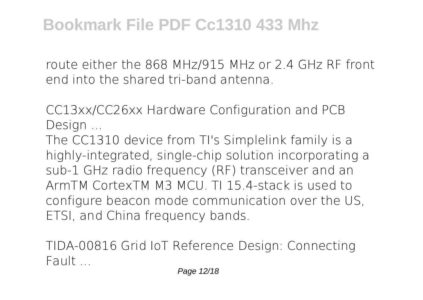route either the 868 MHz/915 MHz or 2.4 GHz RF front end into the shared tri-band antenna.

CC13xx/CC26xx Hardware Configuration and PCB Design ...

The CC1310 device from TI's Simplelink family is a highly-integrated, single-chip solution incorporating a sub-1 GHz radio frequency (RF) transceiver and an ArmTM CortexTM M3 MCU. TI 15.4-stack is used to configure beacon mode communication over the US, ETSI, and China frequency bands.

TIDA-00816 Grid IoT Reference Design: Connecting Fault ...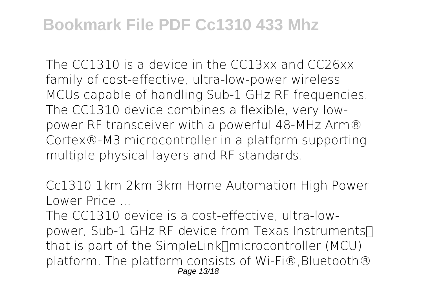The CC1310 is a device in the CC13xx and CC26xx family of cost-effective, ultra-low-power wireless MCUs capable of handling Sub-1 GHz RF frequencies. The CC1310 device combines a flexible, very lowpower RF transceiver with a powerful 48-MHz Arm® Cortex®-M3 microcontroller in a platform supporting multiple physical layers and RF standards.

Cc1310 1km 2km 3km Home Automation High Power Lower Price ...

The CC1310 device is a cost-effective, ultra-lowpower, Sub-1 GHz RF device from Texas Instruments∏ that is part of the SimpleLink∏microcontroller (MCU) platform. The platform consists of Wi-Fi®,Bluetooth® Page 13/18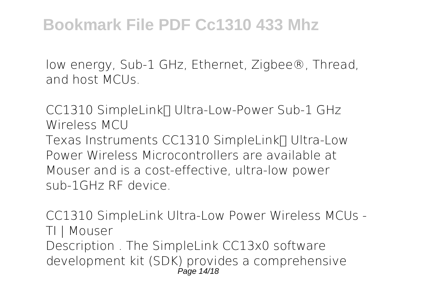low energy, Sub-1 GHz, Ethernet, Zigbee®, Thread, and host MCUs.

CC1310 SimpleLink∏ Ultra-Low-Power Sub-1 GHz Wireless MCU Texas Instruments CC1310 SimpleLink∏ Ultra-Low Power Wireless Microcontrollers are available at Mouser and is a cost-effective, ultra-low power sub-1GHz RF device.

CC1310 SimpleLink Ultra-Low Power Wireless MCUs - TI | Mouser Description . The SimpleLink CC13x0 software development kit (SDK) provides a comprehensive Page 14/18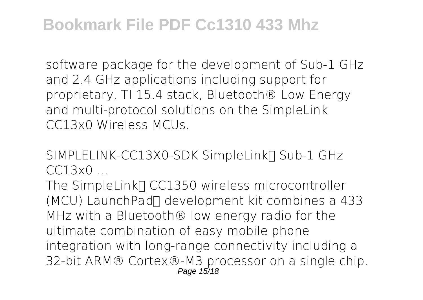software package for the development of Sub-1 GHz and 2.4 GHz applications including support for proprietary, TI 15.4 stack, Bluetooth® Low Energy and multi-protocol solutions on the SimpleLink CC13x0 Wireless MCUs.

SIMPLELINK-CC13X0-SDK SimpleLink∏ Sub-1 GHz  $C C13x0$ 

The SimpleLink∏ CC1350 wireless microcontroller (MCU) LaunchPad™ development kit combines a 433 MHz with a Bluetooth® low energy radio for the ultimate combination of easy mobile phone integration with long-range connectivity including a 32-bit ARM® Cortex®-M3 processor on a single chip. Page 15/18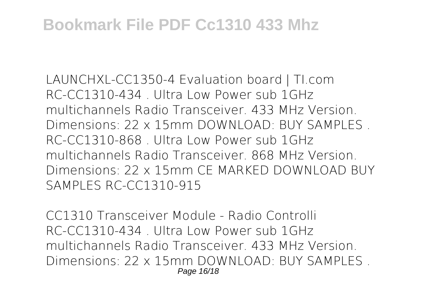LAUNCHXL-CC1350-4 Evaluation board | TI.com RC-CC1310-434 . Ultra Low Power sub 1GHz multichannels Radio Transceiver. 433 MHz Version. Dimensions: 22 x 15mm DOWNLOAD: BUY SAMPLES . RC-CC1310-868 . Ultra Low Power sub 1GHz multichannels Radio Transceiver. 868 MHz Version. Dimensions: 22 x 15mm CE MARKED DOWNLOAD BUY SAMPLES RC-CC1310-915

CC1310 Transceiver Module - Radio Controlli RC-CC1310-434 . Ultra Low Power sub 1GHz multichannels Radio Transceiver. 433 MHz Version. Dimensions: 22 x 15mm DOWNLOAD: BUY SAMPLES . Page 16/18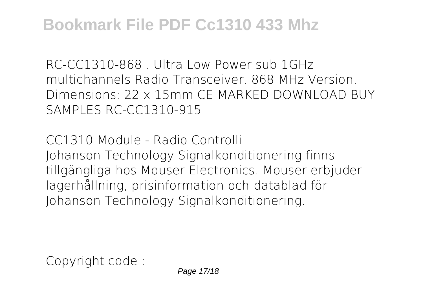RC-CC1310-868 . Ultra Low Power sub 1GHz multichannels Radio Transceiver. 868 MHz Version. Dimensions: 22 x 15mm CE MARKED DOWNLOAD BUY SAMPLES RC-CC1310-915

CC1310 Module - Radio Controlli Johanson Technology Signalkonditionering finns tillgängliga hos Mouser Electronics. Mouser erbjuder lagerhållning, prisinformation och datablad för Johanson Technology Signalkonditionering.

Copyright code :